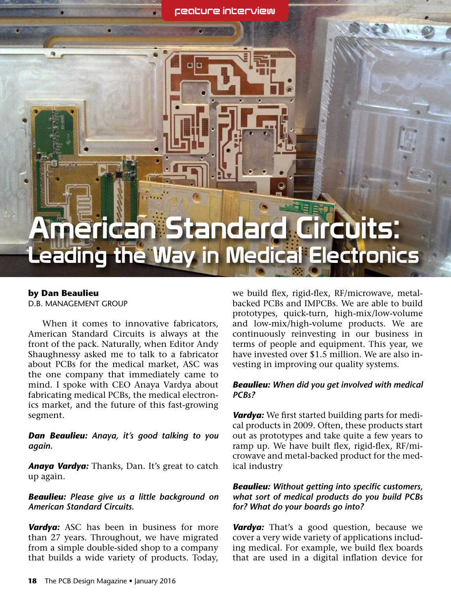feature interview

# American Standard Circuits: Leading the Way in Medical Electronics

#### **by Dan Beaulieu** D.B. Management Group

D

When it comes to innovative fabricators, American Standard Circuits is always at the front of the pack. Naturally, when Editor Andy Shaughnessy asked me to talk to a fabricator about PCBs for the medical market, ASC was the one company that immediately came to mind. I spoke with CEO Anaya Vardya about fabricating medical PCBs, the medical electronics market, and the future of this fast-growing segment.

#### *Dan Beaulieu: Anaya, it's good talking to you again.*

*Anaya Vardya:* Thanks, Dan. It's great to catch up again.

#### *Beaulieu: Please give us a little background on American Standard Circuits.*

*Vardya:* ASC has been in business for more than 27 years. Throughout, we have migrated from a simple double-sided shop to a company that builds a wide variety of products. Today, we build flex, rigid-flex, RF/microwave, metalbacked PCBs and IMPCBs. We are able to build prototypes, quick-turn, high-mix/low-volume and low-mix/high-volume products. We are continuously reinvesting in our business in terms of people and equipment. This year, we have invested over \$1.5 million. We are also investing in improving our quality systems.

#### *Beaulieu: When did you get involved with medical PCBs?*

*Vardya:* We first started building parts for medical products in 2009. Often, these products start out as prototypes and take quite a few years to ramp up. We have built flex, rigid-flex, RF/microwave and metal-backed product for the medical industry

#### *Beaulieu: Without getting into specific customers, what sort of medical products do you build PCBs for? What do your boards go into?*

*Vardya:* That's a good question, because we cover a very wide variety of applications including medical. For example, we build flex boards that are used in a digital inflation device for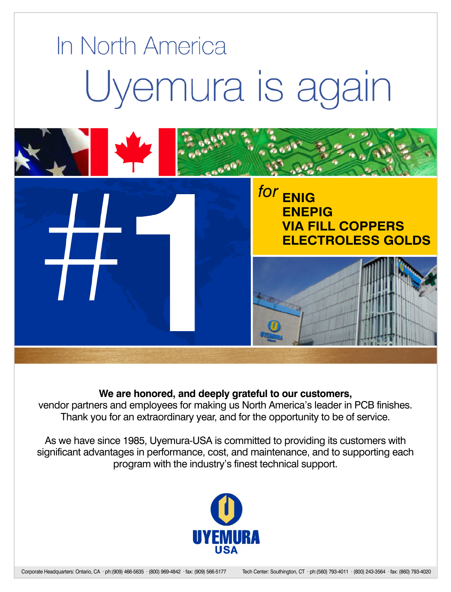

#### **We are honored, and deeply grateful to our customers,**

vendor partners and employees for making us North America's leader in PCB finishes. Thank you for an extraordinary year, and for the opportunity to be of service.

As we have since 1985, Uyemura-USA is committed to providing its customers with [significant advantages in performance, cost, and maintenance, and to supporting each](http://iconnect007.com/ads/links.php?id=1758) program with the industry's finest technical support.

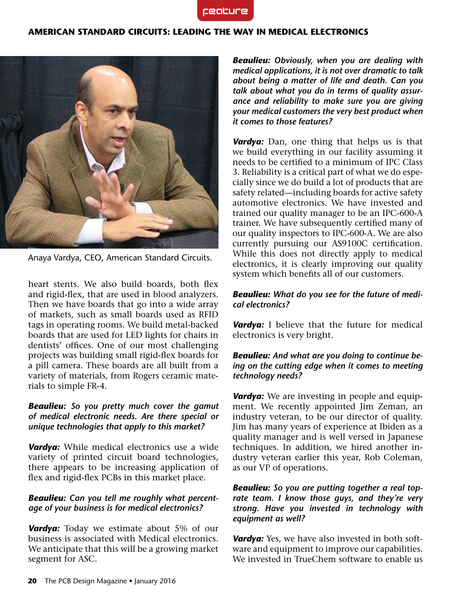

#### **American Standard Circuits: Leading the Way in Medical Electronics**



Anaya Vardya, CEO, American Standard Circuits.

heart stents. We also build boards, both flex and rigid-flex, that are used in blood analyzers. Then we have boards that go into a wide array of markets, such as small boards used as RFID tags in operating rooms. We build metal-backed boards that are used for LED lights for chairs in dentists' offices. One of our most challenging projects was building small rigid-flex boards for a pill camera. These boards are all built from a variety of materials, from Rogers ceramic materials to simple FR-4.

#### *Beaulieu: So you pretty much cover the gamut of medical electronic needs. Are there special or unique technologies that apply to this market?*

*Vardya:* While medical electronics use a wide variety of printed circuit board technologies, there appears to be increasing application of flex and rigid-flex PCBs in this market place.

#### *Beaulieu: Can you tell me roughly what percentage of your business is for medical electronics?*

*Vardya:* Today we estimate about 5% of our business is associated with Medical electronics. We anticipate that this will be a growing market segment for ASC.

*Beaulieu: Obviously, when you are dealing with medical applications, it is not over dramatic to talk about being a matter of life and death. Can you talk about what you do in terms of quality assurance and reliability to make sure you are giving your medical customers the very best product when it comes to those features?*

*Vardya:* Dan, one thing that helps us is that we build everything in our facility assuming it needs to be certified to a minimum of IPC Class 3. Reliability is a critical part of what we do especially since we do build a lot of products that are safety related—including boards for active safety automotive electronics. We have invested and trained our quality manager to be an IPC-600-A trainer. We have subsequently certified many of our quality inspectors to IPC-600-A. We are also currently pursuing our AS9100C certification. While this does not directly apply to medical electronics, it is clearly improving our quality system which benefits all of our customers.

#### *Beaulieu: What do you see for the future of medical electronics?*

*Vardya:* I believe that the future for medical electronics is very bright.

#### *Beaulieu: And what are you doing to continue being on the cutting edge when it comes to meeting technology needs?*

*Vardya:* We are investing in people and equipment. We recently appointed Jim Zeman, an industry veteran, to be our director of quality. Jim has many years of experience at Ibiden as a quality manager and is well versed in Japanese techniques. In addition, we hired another industry veteran earlier this year, Rob Coleman, as our VP of operations.

#### *Beaulieu: So you are putting together a real toprate team. I know those guys, and they're very strong. Have you invested in technology with equipment as well?*

*Vardya:* Yes, we have also invested in both software and equipment to improve our capabilities. We invested in TrueChem software to enable us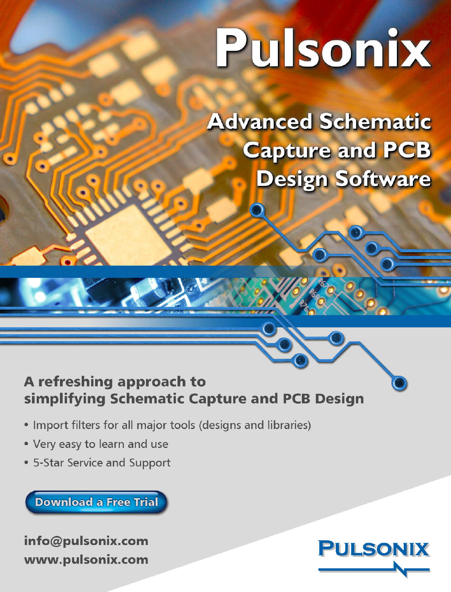# Pulsonix

**Advanced Schematic Capture and PCB** Design Software

## A refreshing approach to simplifying Schematic Capture and PCB Design

- Import filters for all major tools (designs and libraries)
- Very easy to learn and use
- 5-Star Service and Support

**Download a Free Trial** 

info@pulsonix.com www.pulsonix.com